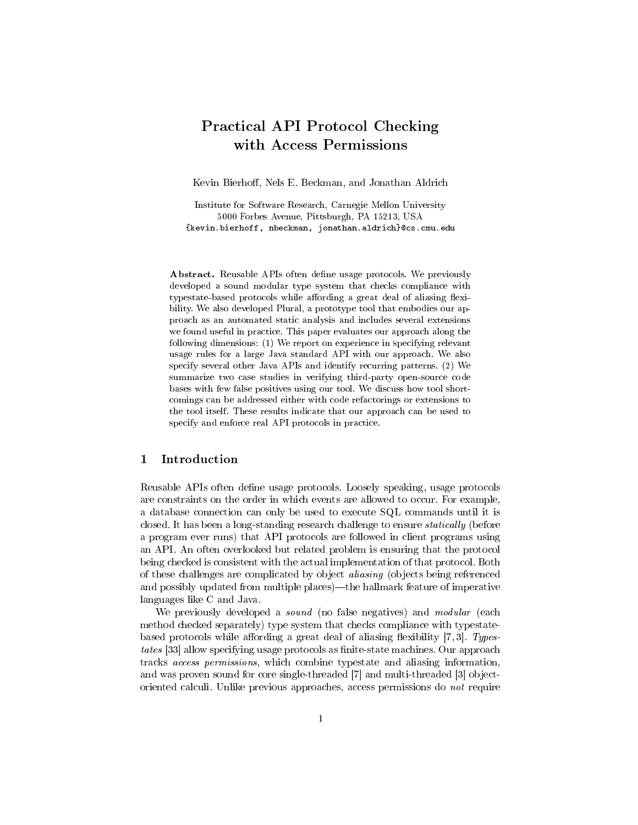# Practical API Protocol Checking with Access Permissions

Kevin Bierhoff, Nels E. Beckman, and Jonathan Aldrich

Institute for Software Research, Carnegie Mellon University 5000 Forbes Avenue, Pittsburgh, PA 15213, USA {kevin.bierhoff, nbeckman, jonathan.aldrich}@cs.cmu.edu

Abstract. Reusable APIs often define usage protocols. We previously developed a sound modular type system that checks compliance with typestate-based protocols while affording a great deal of aliasing flexibility. We also developed Plural, a prototype tool that embodies our approach as an automated static analysis and includes several extensions we found useful in practice. This paper evaluates our approach along the following dimensions: (1) We report on experience in specifying relevant usage rules for a large Java standard API with our approach. We also specify several other Java APIs and identify recurring patterns. (2) We summarize two case studies in verifying third-party open-source code bases with few false positives using our tool. We discuss how tool shortcomings can be addressed either with code refactorings or extensions to the tool itself. These results indicate that our approach can be used to specify and enforce real API protocols in practice.

## 1 Introduction

Reusable APIs often define usage protocols. Loosely speaking, usage protocols are constraints on the order in which events are allowed to occur. For example, a database connection can only be used to execute SQL commands until it is closed. It has been a long-standing research challenge to ensure statically (before a program ever runs) that API protocols are followed in client programs using an API. An often overlooked but related problem is ensuring that the protocol being checked is consistent with the actual implementation of that protocol. Both of these challenges are complicated by object aliasing (objects being referenced and possibly updated from multiple places)—the hallmark feature of imperative languages like C and Java.

We previously developed a *sound* (no false negatives) and *modular* (each method checked separately) type system that checks compliance with typestatebased protocols while affording a great deal of aliasing flexibility  $[7, 3]$ . Typestates [33] allow specifying usage protocols as finite-state machines. Our approach tracks access permissions, which combine typestate and aliasing information, and was proven sound for core single-threaded [7] and multi-threaded [3] objectoriented calculi. Unlike previous approaches, access permissions do not require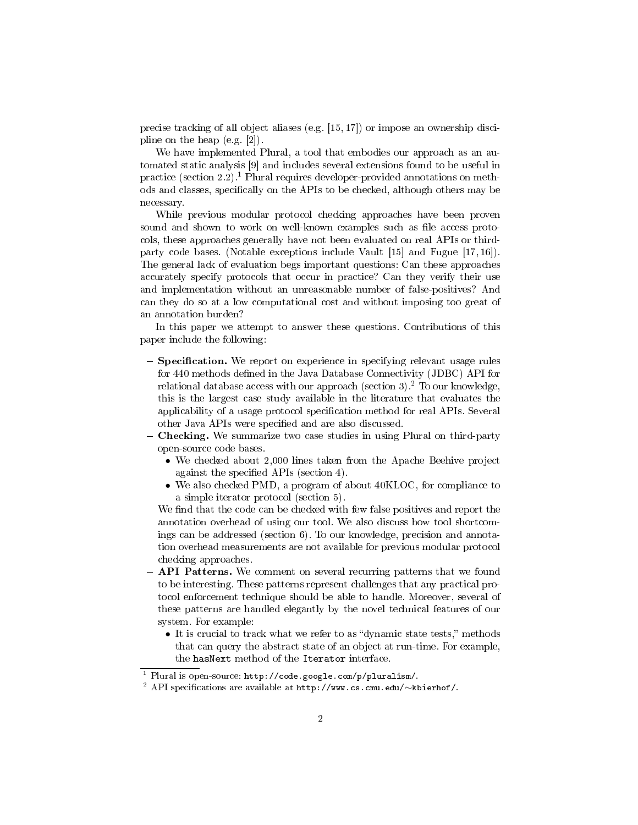precise tracking of all object aliases (e.g. [15, 17]) or impose an ownership discipline on the heap (e.g. [2]).

We have implemented Plural, a tool that embodies our approach as an automated static analysis [9] and includes several extensions found to be useful in practice (section  $2.2$ ).<sup>1</sup> Plural requires developer-provided annotations on methods and classes, specifically on the APIs to be checked, although others may be necessary.

While previous modular protocol checking approaches have been proven sound and shown to work on well-known examples such as file access protocols, these approaches generally have not been evaluated on real APIs or thirdparty code bases. (Notable exceptions include Vault [15] and Fugue [17, 16]). The general lack of evaluation begs important questions: Can these approaches accurately specify protocols that occur in practice? Can they verify their use and implementation without an unreasonable number of false-positives? And can they do so at a low computational cost and without imposing too great of an annotation burden?

In this paper we attempt to answer these questions. Contributions of this paper include the following:

- Specification. We report on experience in specifying relevant usage rules for 440 methods defined in the Java Database Connectivity (JDBC) API for relational database access with our approach (section 3).<sup>2</sup> To our knowledge, this is the largest case study available in the literature that evaluates the applicability of a usage protocol specification method for real APIs. Several other Java APIs were specified and are also discussed.
- Checking. We summarize two case studies in using Plural on third-party open-source code bases.
	- We checked about 2,000 lines taken from the Apache Beehive project against the specified APIs (section 4).
	- We also checked PMD, a program of about 40KLOC, for compliance to a simple iterator protocol (section 5).

We find that the code can be checked with few false positives and report the annotation overhead of using our tool. We also discuss how tool shortcomings can be addressed (section 6). To our knowledge, precision and annotation overhead measurements are not available for previous modular protocol checking approaches.

- **API Patterns.** We comment on several recurring patterns that we found to be interesting. These patterns represent challenges that any practical protocol enforcement technique should be able to handle. Moreover, several of these patterns are handled elegantly by the novel technical features of our system. For example:
	- $\bullet~$  It is crucial to track what we refer to as "dynamic state tests," methods that can query the abstract state of an object at run-time. For example, the hasNext method of the Iterator interface.

<sup>1</sup> Plural is open-source: http://code.google.com/p/pluralism/.

<sup>&</sup>lt;sup>2</sup> API specifications are available at http://www.cs.cmu.edu/∼kbierhof/.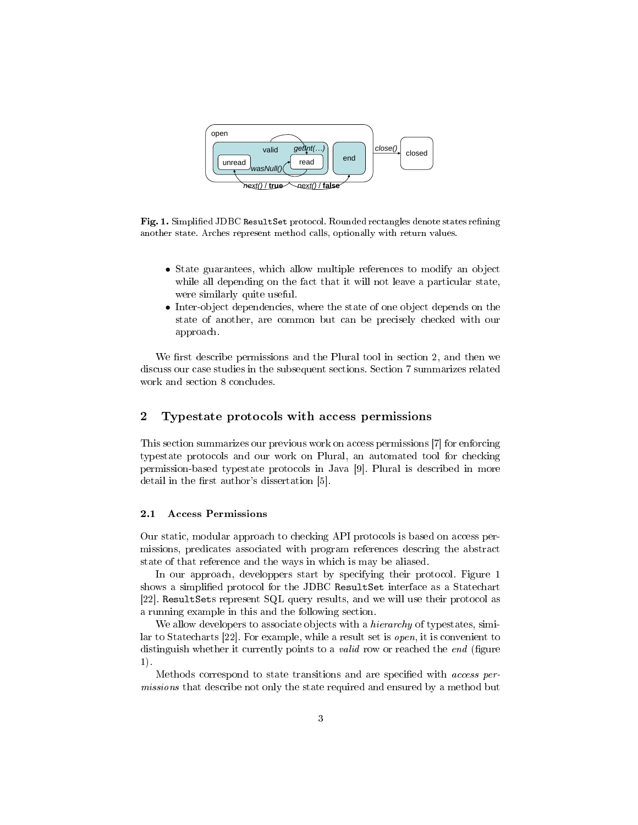

Fig. 1. Simplified JDBC ResultSet protocol. Rounded rectangles denote states refining another state. Arches represent method calls, optionally with return values.

- State guarantees, which allow multiple references to modify an object while all depending on the fact that it will not leave a particular state, were similarly quite useful.
- Inter-object dependencies, where the state of one object depends on the state of another, are common but can be precisely checked with our approach.

We first describe permissions and the Plural tool in section 2, and then we discuss our case studies in the subsequent sections. Section 7 summarizes related work and section 8 concludes.

# 2 Typestate protocols with access permissions

This section summarizes our previous work on access permissions [7] for enforcing typestate protocols and our work on Plural, an automated tool for checking permission-based typestate protocols in Java [9]. Plural is described in more detail in the first author's dissertation [5].

#### 2.1 Access Permissions

Our static, modular approach to checking API protocols is based on access permissions, predicates associated with program references descring the abstract state of that reference and the ways in which is may be aliased.

In our approach, developpers start by specifying their protocol. Figure 1 shows a simplied protocol for the JDBC ResultSet interface as a Statechart [22]. ResultSets represent SQL query results, and we will use their protocol as a running example in this and the following section.

We allow developers to associate objects with a *hierarchy* of typestates, similar to Statecharts [22]. For example, while a result set is open, it is convenient to distinguish whether it currently points to a *valid* row or reached the *end* (figure 1).

Methods correspond to state transitions and are specified with *access per*missions that describe not only the state required and ensured by a method but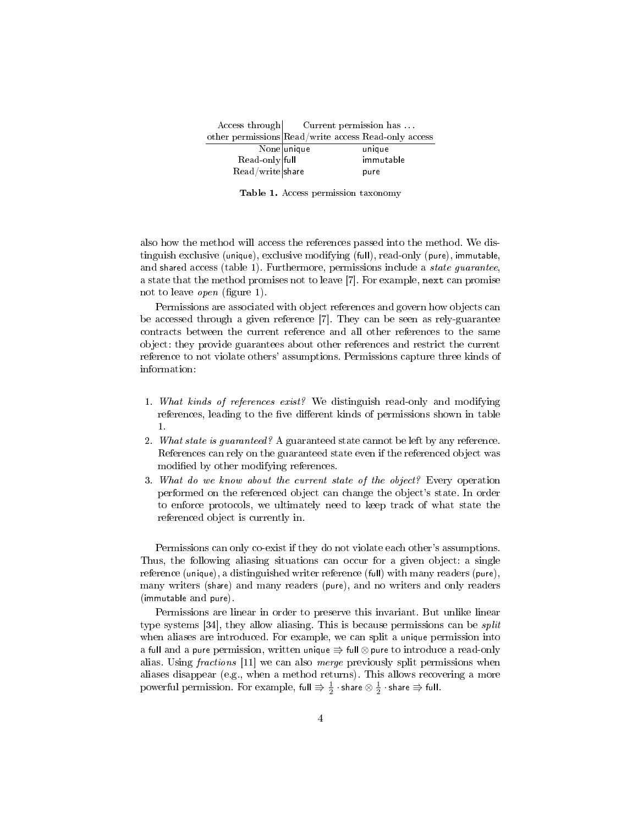|                                      | Access through Current permission has                |           |
|--------------------------------------|------------------------------------------------------|-----------|
|                                      | other permissions Read/write access Read-only access |           |
|                                      | None unique                                          | unique    |
| Read-only full                       |                                                      | immutable |
| $\mathrm{Read}/\mathrm{write}$ share |                                                      | pure      |

Table 1. Access permission taxonomy

also how the method will access the references passed into the method. We distinguish exclusive (unique), exclusive modifying (full), read-only (pure), immutable, and shared access (table 1). Furthermore, permissions include a state guarantee, a state that the method promises not to leave [7]. For example, next can promise not to leave *open* (figure 1).

Permissions are associated with object references and govern how objects can be accessed through a given reference [7]. They can be seen as rely-guarantee contracts between the current reference and all other references to the same object: they provide guarantees about other references and restrict the current reference to not violate others' assumptions. Permissions capture three kinds of information:

- 1. What kinds of references exist? We distinguish read-only and modifying references, leading to the five different kinds of permissions shown in table 1.
- 2. What state is guaranteed? A guaranteed state cannot be left by any reference. References can rely on the guaranteed state even if the referenced object was modified by other modifying references.
- 3. What do we know about the current state of the object? Every operation performed on the referenced object can change the object's state. In order to enforce protocols, we ultimately need to keep track of what state the referenced object is currently in.

Permissions can only co-exist if they do not violate each other's assumptions. Thus, the following aliasing situations can occur for a given object: a single reference (unique), a distinguished writer reference (full) with many readers (pure), many writers (share) and many readers (pure), and no writers and only readers (immutable and pure).

Permissions are linear in order to preserve this invariant. But unlike linear type systems [34], they allow aliasing. This is because permissions can be *split* when aliases are introduced. For example, we can split a unique permission into a full and a pure permission, written unique  $\Rightarrow$  full  $\otimes$  pure to introduce a read-only alias. Using fractions [11] we can also merge previously split permissions when aliases disappear (e.g., when a method returns). This allows recovering a more powerful permission. For example, full  $\Rightarrow \frac{1}{2} \cdot \textsf{share} \otimes \frac{1}{2} \cdot \textsf{share} \Rightarrow \textsf{full}.$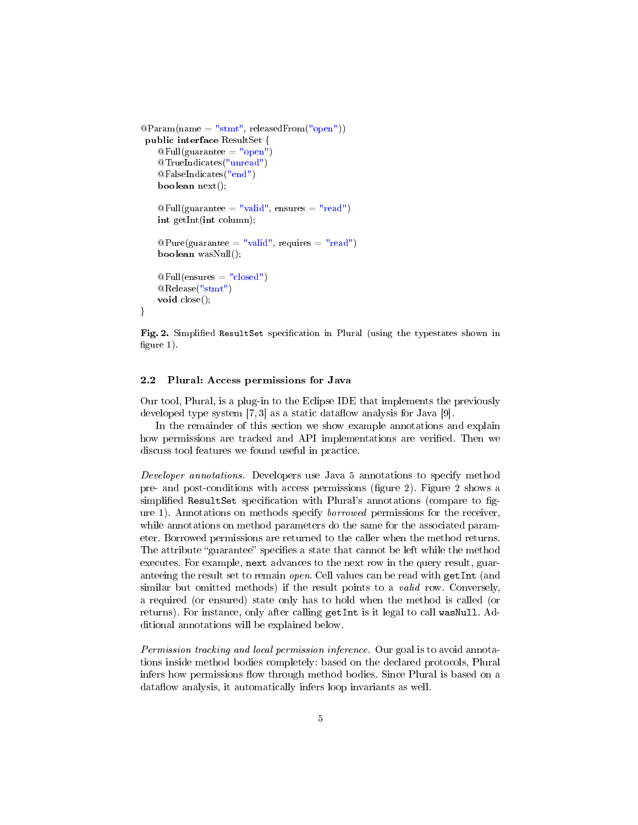```
\mathbf{\Omega}Param(name = "stmt", releasedFrom("open"))
public interface ResultSet {
    \mathbb{Q}Full(guarantee = "open")
    @TrueIndicates("unread")
    @FalseIndicates("end")
    boolean next();
    \mathbb{Q}Full(guarantee = "valid", ensures = "read")
    int getInt(int column);
    \mathbf{QPure}(\text{guarantee} = "valid", \text{ requires } = "read")boolean wasNull();
    \mathbb{Q}Full(ensures = "closed")
    @Release("stmt")
    void close();
}
```
Fig. 2. Simplified ResultSet specification in Plural (using the typestates shown in figure 1).

#### 2.2 Plural: Access permissions for Java

Our tool, Plural, is a plug-in to the Eclipse IDE that implements the previously developed type system  $[7, 3]$  as a static dataflow analysis for Java  $[9]$ .

In the remainder of this section we show example annotations and explain how permissions are tracked and API implementations are verified. Then we discuss tool features we found useful in practice.

Developer annotations. Developers use Java 5 annotations to specify method pre- and post-conditions with access permissions (figure 2). Figure 2 shows a simplified ResultSet specification with Plural's annotations (compare to figure 1). Annotations on methods specify borrowed permissions for the receiver, while annotations on method parameters do the same for the associated parameter. Borrowed permissions are returned to the caller when the method returns. The attribute "guarantee" specifies a state that cannot be left while the method executes. For example, next advances to the next row in the query result, guaranteeing the result set to remain open. Cell values can be read with getInt (and similar but omitted methods) if the result points to a *valid* row. Conversely, a required (or ensured) state only has to hold when the method is called (or returns). For instance, only after calling getInt is it legal to call wasNull. Additional annotations will be explained below.

Permission tracking and local permission inference. Our goal is to avoid annotations inside method bodies completely: based on the declared protocols, Plural infers how permissions flow through method bodies. Since Plural is based on a dataflow analysis, it automatically infers loop invariants as well.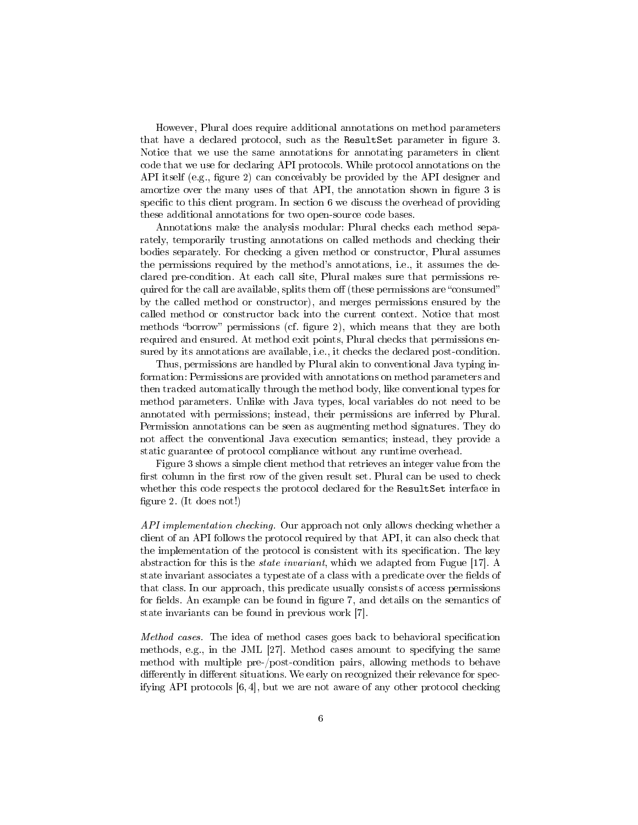However, Plural does require additional annotations on method parameters that have a declared protocol, such as the ResultSet parameter in figure 3. Notice that we use the same annotations for annotating parameters in client code that we use for declaring API protocols. While protocol annotations on the API itself (e.g., figure 2) can conceivably be provided by the API designer and amortize over the many uses of that API, the annotation shown in figure 3 is specific to this client program. In section 6 we discuss the overhead of providing these additional annotations for two open-source code bases.

Annotations make the analysis modular: Plural checks each method separately, temporarily trusting annotations on called methods and checking their bodies separately. For checking a given method or constructor, Plural assumes the permissions required by the method's annotations, i.e., it assumes the declared pre-condition. At each call site, Plural makes sure that permissions required for the call are available, splits them off (these permissions are "consumed" by the called method or constructor), and merges permissions ensured by the called method or constructor back into the current context. Notice that most methods "borrow" permissions (cf. figure 2), which means that they are both required and ensured. At method exit points, Plural checks that permissions ensured by its annotations are available, i.e., it checks the declared post-condition.

Thus, permissions are handled by Plural akin to conventional Java typing information: Permissions are provided with annotations on method parameters and then tracked automatically through the method body, like conventional types for method parameters. Unlike with Java types, local variables do not need to be annotated with permissions; instead, their permissions are inferred by Plural. Permission annotations can be seen as augmenting method signatures. They do not affect the conventional Java execution semantics; instead, they provide a static guarantee of protocol compliance without any runtime overhead.

Figure 3 shows a simple client method that retrieves an integer value from the first column in the first row of the given result set. Plural can be used to check whether this code respects the protocol declared for the ResultSet interface in figure 2. (It does not!)

API implementation checking. Our approach not only allows checking whether a client of an API follows the protocol required by that API, it can also check that the implementation of the protocol is consistent with its specification. The key abstraction for this is the state invariant, which we adapted from Fugue [17]. A state invariant associates a typestate of a class with a predicate over the fields of that class. In our approach, this predicate usually consists of access permissions for fields. An example can be found in figure 7, and details on the semantics of state invariants can be found in previous work [7].

Method cases. The idea of method cases goes back to behavioral specification methods, e.g., in the JML [27]. Method cases amount to specifying the same method with multiple pre-/post-condition pairs, allowing methods to behave differently in different situations. We early on recognized their relevance for specifying API protocols  $[6, 4]$ , but we are not aware of any other protocol checking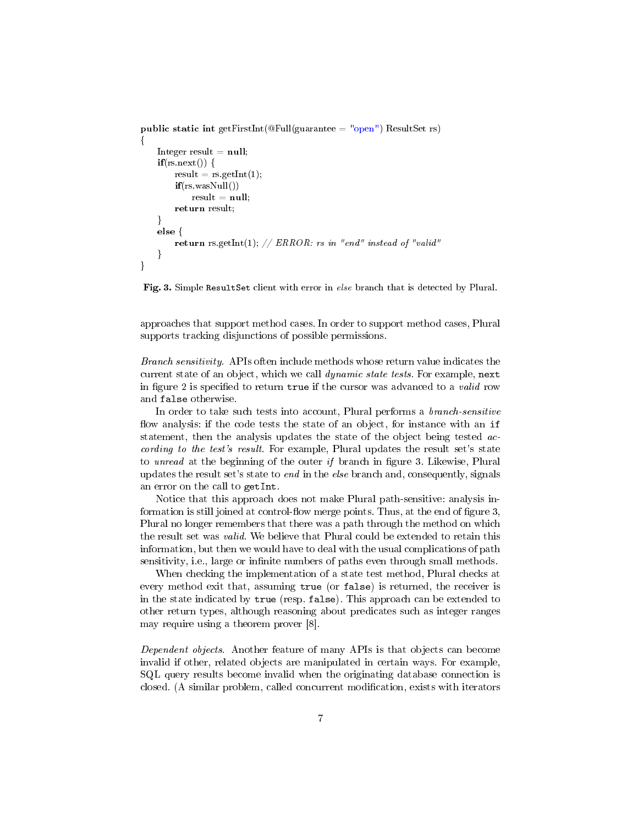```
public static int getFirstInt(@Full(guarantee = "open") ResultSet rs)
{
    Integer result = null;
   if(rs.next()) {
        result = rs.getInt(1);if(rs.wasNull())result = null;return result;
    }
   else {
        return rs.getInt(1); // ERROR: rs in "end" instead of "valid"
    }
}
```
Fig. 3. Simple ResultSet client with error in else branch that is detected by Plural.

approaches that support method cases. In order to support method cases, Plural supports tracking disjunctions of possible permissions.

Branch sensitivity. APIs often include methods whose return value indicates the current state of an object, which we call *dynamic state tests*. For example, next in figure 2 is specified to return true if the cursor was advanced to a valid row and false otherwise.

In order to take such tests into account, Plural performs a branch-sensitive flow analysis: if the code tests the state of an object, for instance with an if statement, then the analysis updates the state of the object being tested according to the test's result. For example, Plural updates the result set's state to unread at the beginning of the outer if branch in figure 3. Likewise, Plural updates the result set's state to end in the else branch and, consequently, signals an error on the call to getInt.

Notice that this approach does not make Plural path-sensitive: analysis information is still joined at control-flow merge points. Thus, at the end of figure 3, Plural no longer remembers that there was a path through the method on which the result set was valid. We believe that Plural could be extended to retain this information, but then we would have to deal with the usual complications of path sensitivity, i.e., large or infinite numbers of paths even through small methods.

When checking the implementation of a state test method, Plural checks at every method exit that, assuming true (or false) is returned, the receiver is in the state indicated by true (resp. false). This approach can be extended to other return types, although reasoning about predicates such as integer ranges may require using a theorem prover [8].

Dependent objects. Another feature of many APIs is that objects can become invalid if other, related objects are manipulated in certain ways. For example, SQL query results become invalid when the originating database connection is closed. (A similar problem, called concurrent modification, exists with iterators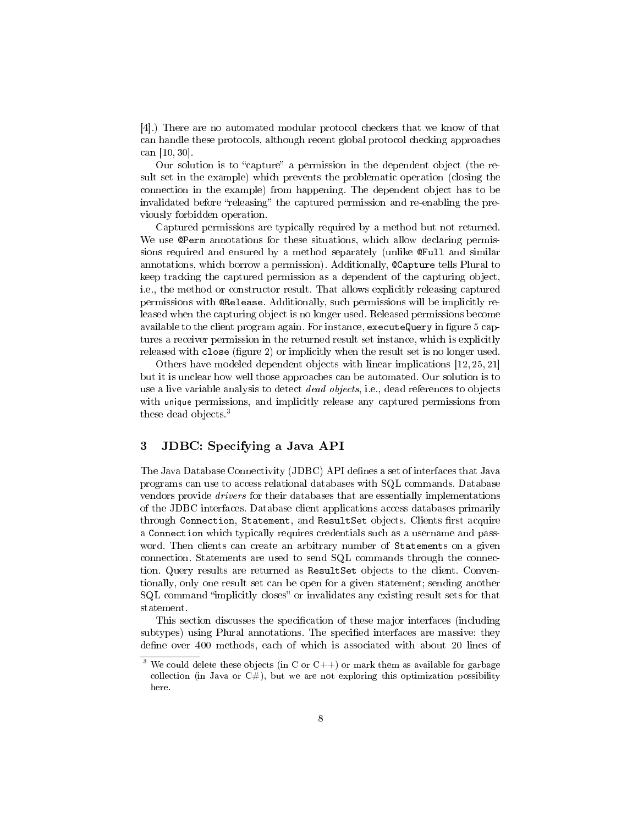[4].) There are no automated modular protocol checkers that we know of that can handle these protocols, although recent global protocol checking approaches can [10, 30].

Our solution is to "capture" a permission in the dependent object (the result set in the example) which prevents the problematic operation (closing the connection in the example) from happening. The dependent object has to be invalidated before "releasing" the captured permission and re-enabling the previously forbidden operation.

Captured permissions are typically required by a method but not returned. We use @Perm annotations for these situations, which allow declaring permissions required and ensured by a method separately (unlike @Full and similar annotations, which borrow a permission). Additionally, @Capture tells Plural to keep tracking the captured permission as a dependent of the capturing object, i.e., the method or constructor result. That allows explicitly releasing captured permissions with @Release. Additionally, such permissions will be implicitly released when the capturing object is no longer used. Released permissions become available to the client program again. For instance, executeQuery in figure 5 captures a receiver permission in the returned result set instance, which is explicitly released with close (figure 2) or implicitly when the result set is no longer used.

Others have modeled dependent objects with linear implications [12, 25, 21] but it is unclear how well those approaches can be automated. Our solution is to use a live variable analysis to detect *dead objects*, i.e., dead references to objects with unique permissions, and implicitly release any captured permissions from these dead objects.<sup>3</sup>

# 3 JDBC: Specifying a Java API

The Java Database Connectivity (JDBC) API defines a set of interfaces that Java programs can use to access relational databases with SQL commands. Database vendors provide *drivers* for their databases that are essentially implementations of the JDBC interfaces. Database client applications access databases primarily through Connection, Statement, and ResultSet objects. Clients first acquire a Connection which typically requires credentials such as a username and password. Then clients can create an arbitrary number of Statements on a given connection. Statements are used to send SQL commands through the connection. Query results are returned as ResultSet objects to the client. Conventionally, only one result set can be open for a given statement; sending another SQL command "implicitly closes" or invalidates any existing result sets for that statement.

This section discusses the specification of these major interfaces (including subtypes) using Plural annotations. The specified interfaces are massive: they define over 400 methods, each of which is associated with about 20 lines of

<sup>&</sup>lt;sup>3</sup> We could delete these objects (in C or C++) or mark them as available for garbage collection (in Java or  $C#$ ), but we are not exploring this optimization possibility here.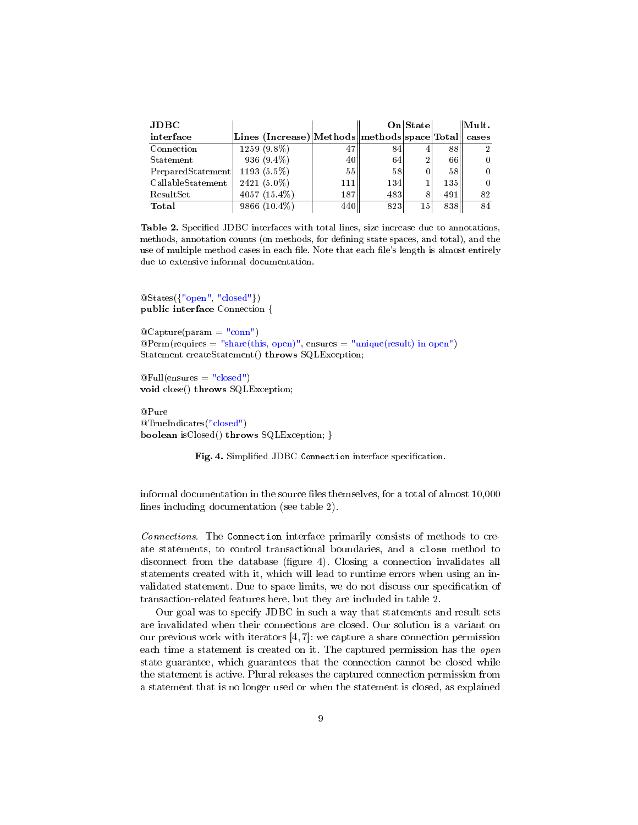| JDBC              |                                               |     |                 | On State |                 | $\mathbf{Mult.}$ |
|-------------------|-----------------------------------------------|-----|-----------------|----------|-----------------|------------------|
| interface         | Lines (Increase) Methods  methods space Total |     |                 |          |                 | cases            |
| Connection        | 1259 (9.8%)                                   | 47' | 84              |          | 88              |                  |
| Statement         | 936 (9.4%)                                    | 40  | 64              | 2        | 66              |                  |
| PreparedStatement | 1193 (5.5%)                                   | 55  | 58 <sup>1</sup> |          | 58 <sup>1</sup> |                  |
| CallableStatement | 2421 (5.0%)                                   | 111 | 134             |          | 135             |                  |
| ResultSet         | 4057 $(15.4\%)$                               | 187 | 483             |          | 491             | 82               |
| Total             | $9866(10.4\%)$                                | 440 | 823             | 15       | 838             | 84               |

Table 2. Specified JDBC interfaces with total lines, size increase due to annotations, methods, annotation counts (on methods, for dening state spaces, and total), and the use of multiple method cases in each file. Note that each file's length is almost entirely due to extensive informal documentation.

@States({"open", "closed"}) public interface Connection {

```
@Cap\ture(param = "conn")\mathbb{Q}Perm(requires = "share(this, open)", ensures = "unique(result) in open")
Statement createStatement() throws SQLException;
```

```
\mathbb{Q}Full(ensures = "closed")
void close() throws SQLException;
```
@Pure @TrueIndicates("closed") boolean isClosed() throws SQLException; }

Fig. 4. Simplified JDBC Connection interface specification.

informal documentation in the source files themselves, for a total of almost 10,000 lines including documentation (see table 2).

Connections. The Connection interface primarily consists of methods to create statements, to control transactional boundaries, and a close method to disconnect from the database (figure 4). Closing a connection invalidates all statements created with it, which will lead to runtime errors when using an invalidated statement. Due to space limits, we do not discuss our specification of transaction-related features here, but they are included in table 2.

Our goal was to specify JDBC in such a way that statements and result sets are invalidated when their connections are closed. Our solution is a variant on our previous work with iterators [4, 7]: we capture a share connection permission each time a statement is created on it. The captured permission has the *open* state guarantee, which guarantees that the connection cannot be closed while the statement is active. Plural releases the captured connection permission from a statement that is no longer used or when the statement is closed, as explained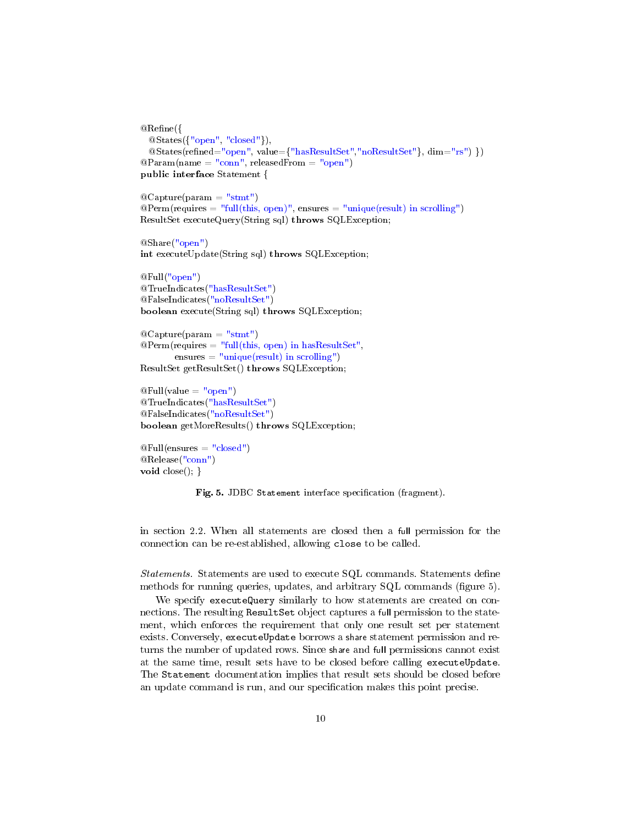```
@Refine({}@States({"open", "closed"}),
  @States(refine d="open", value={''hasResultSet", "noResultSet", 'dim="s"}, dim="rs")})\mathbb{Q}Param(name = "conn", releasedFrom = "open")
public interface Statement {
```

```
@Capture(param = "stmt")
\OmegaPerm(requires = "full(this, open)", ensures = "unique(result) in scrolling")
ResultSet executeQuery(String sql) throws SQLException;
```

```
@Share("open")
int executeUpdate(String sql) throws SQLException;
```
@Full("open") @TrueIndicates("hasResultSet") @FalseIndicates("noResultSet") boolean execute(String sql) throws SQLException;

```
@Capture(param = "stmt")
\mathbb{Q}Perm(requires = "full(this, open) in hasResultSet",
        ensures = "unique(result) in scrolling")
ResultSet getResultSet() throws SQLException;
```

```
@Full(value = "open")@TrueIndicates("hasResultSet")
@FalseIndicates("noResultSet")
boolean getMoreResults() throws SQLException;
```

```
\mathbb{Q}Full(ensures = "closed")
@Release("conn")
void close(); }
```
Fig. 5. JDBC Statement interface specification (fragment).

in section 2.2. When all statements are closed then a full permission for the connection can be re-established, allowing close to be called.

Statements. Statements are used to execute SQL commands. Statements define methods for running queries, updates, and arbitrary  $SQL$  commands (figure 5).

We specify executeQuery similarly to how statements are created on connections. The resulting ResultSet object captures a full permission to the statement, which enforces the requirement that only one result set per statement exists. Conversely, executeUpdate borrows a share statement permission and returns the number of updated rows. Since share and full permissions cannot exist at the same time, result sets have to be closed before calling executeUpdate. The Statement documentation implies that result sets should be closed before an update command is run, and our specification makes this point precise.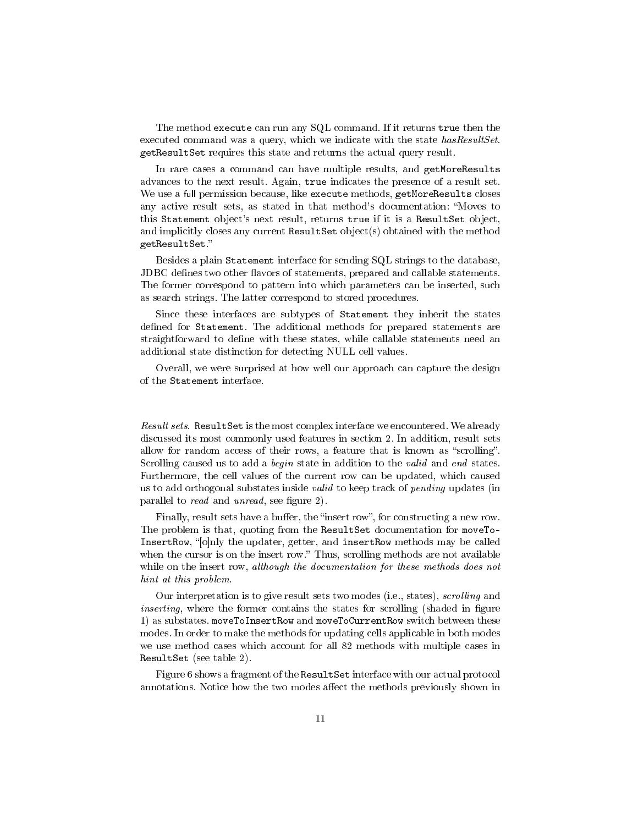The method execute can run any SQL command. If it returns true then the executed command was a query, which we indicate with the state has ResultSet. getResultSet requires this state and returns the actual query result.

In rare cases a command can have multiple results, and getMoreResults advances to the next result. Again, true indicates the presence of a result set. We use a full permission because, like execute methods, getMoreResults closes any active result sets, as stated in that method's documentation: Moves to this Statement object's next result, returns true if it is a ResultSet object, and implicitly closes any current ResultSet object(s) obtained with the method getResultSet.

Besides a plain Statement interface for sending SQL strings to the database, JDBC defines two other flavors of statements, prepared and callable statements. The former correspond to pattern into which parameters can be inserted, such as search strings. The latter correspond to stored procedures.

Since these interfaces are subtypes of Statement they inherit the states defined for Statement. The additional methods for prepared statements are straightforward to define with these states, while callable statements need an additional state distinction for detecting NULL cell values.

Overall, we were surprised at how well our approach can capture the design of the Statement interface.

Result sets. ResultSet is the most complex interface we encountered. We already discussed its most commonly used features in section 2. In addition, result sets allow for random access of their rows, a feature that is known as "scrolling". Scrolling caused us to add a *begin* state in addition to the *valid* and *end* states. Furthermore, the cell values of the current row can be updated, which caused us to add orthogonal substates inside valid to keep track of pending updates (in parallel to read and unread, see figure 2).

Finally, result sets have a buffer, the "insert row", for constructing a new row. The problem is that, quoting from the ResultSet documentation for moveTo-InsertRow, "[o]nly the updater, getter, and insertRow methods may be called when the cursor is on the insert row." Thus, scrolling methods are not available while on the insert row, although the documentation for these methods does not hint at this problem.

Our interpretation is to give result sets two modes (i.e., states), scrolling and *inserting*, where the former contains the states for scrolling (shaded in figure 1) as substates. moveToInsertRow and moveToCurrentRow switch between these modes. In order to make the methods for updating cells applicable in both modes we use method cases which account for all 82 methods with multiple cases in ResultSet (see table 2).

Figure 6 shows a fragment of the ResultSet interface with our actual protocol annotations. Notice how the two modes affect the methods previously shown in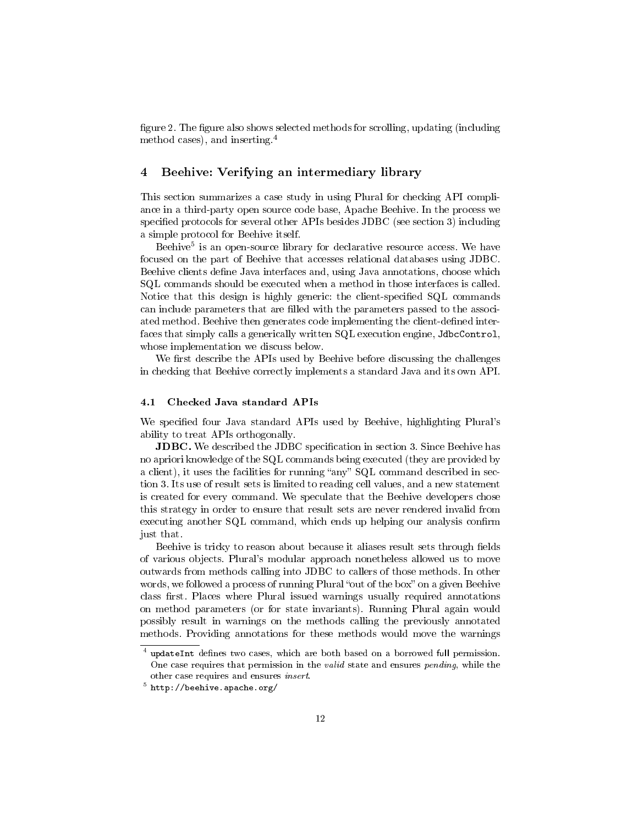figure 2. The figure also shows selected methods for scrolling, updating (including method cases), and inserting.<sup>4</sup>

# 4 Beehive: Verifying an intermediary library

This section summarizes a case study in using Plural for checking API compliance in a third-party open source code base, Apache Beehive. In the process we specified protocols for several other APIs besides  $JDBC$  (see section 3) including a simple protocol for Beehive itself.

**Beehive<sup>5</sup>** is an open-source library for declarative resource access. We have focused on the part of Beehive that accesses relational databases using JDBC. Beehive clients define Java interfaces and, using Java annotations, choose which SQL commands should be executed when a method in those interfaces is called. Notice that this design is highly generic: the client-specified SQL commands can include parameters that are filled with the parameters passed to the associated method. Beehive then generates code implementing the client-defined interfaces that simply calls a generically written SQL execution engine, JdbcControl, whose implementation we discuss below.

We first describe the APIs used by Beehive before discussing the challenges in checking that Beehive correctly implements a standard Java and its own API.

#### 4.1 Checked Java standard APIs

We specified four Java standard APIs used by Beehive, highlighting Plural's ability to treat APIs orthogonally.

**JDBC.** We described the JDBC specification in section 3. Since Beehive has no apriori knowledge of the SQL commands being executed (they are provided by a client), it uses the facilities for running "any" SQL command described in section 3. Its use of result sets is limited to reading cell values, and a new statement is created for every command. We speculate that the Beehive developers chose this strategy in order to ensure that result sets are never rendered invalid from executing another  $SQL$  command, which ends up helping our analysis confirm just that.

Beehive is tricky to reason about because it aliases result sets through fields of various objects. Plural's modular approach nonetheless allowed us to move outwards from methods calling into JDBC to callers of those methods. In other words, we followed a process of running Plural "out of the box" on a given Beehive class first. Places where Plural issued warnings usually required annotations on method parameters (or for state invariants). Running Plural again would possibly result in warnings on the methods calling the previously annotated methods. Providing annotations for these methods would move the warnings

 $<sup>4</sup>$  updateInt defines two cases, which are both based on a borrowed full permission.</sup> One case requires that permission in the *valid* state and ensures *pending*, while the other case requires and ensures insert.

<sup>5</sup> http://beehive.apache.org/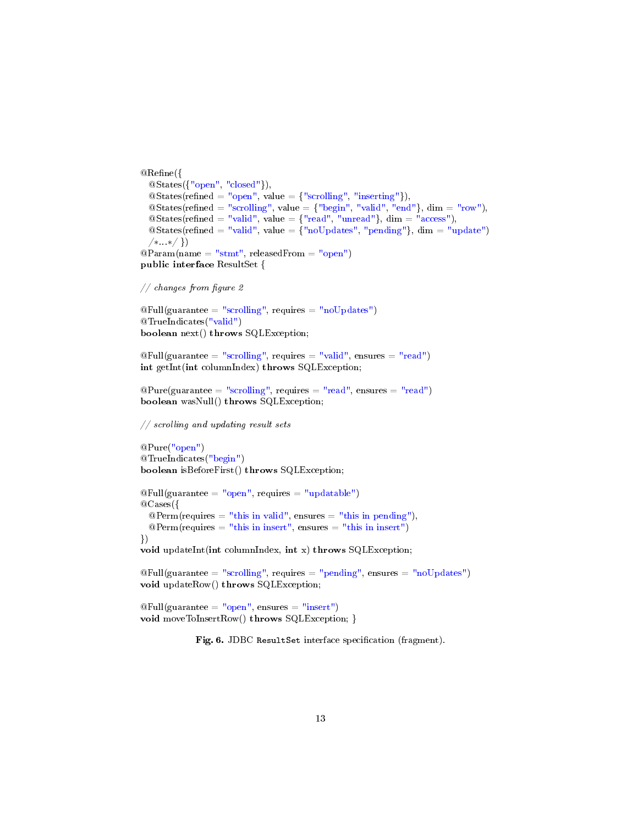```
@Rene({
  @States({"open", "closed"}),
  @States(\text{refined} = "open", value = {``scaling", "inserting"}),@States(refined = "scrolling", value = {"begin", "valid", "end"}, dim = "row"),\mathcal{Q}States(refined = "valid", value = {"read", "unread"}, dim = "access"),
  @States(refined = "valid", value = {"noUp dates", "pending", dim = "update")}/∗...∗/ })
\mathbf{\Omega}Param(name = "stmt", releasedFrom = "open")
public interface ResultSet {
```
 $//$  changes from figure 2

 $\mathbb{Q}$ Full(guarantee = "scrolling", requires = "noUpdates") @TrueIndicates("valid") boolean next() throws SQLException;

 $\mathbb{Q}$ Full(guarantee = "scrolling", requires = "valid", ensures = "read") int getInt(int columnIndex) throws SQLException;

```
\mathbf{QPure}(\text{guarantee} = "scrolling", \text{ requires } = "read", \text{ ensures } = "read")boolean wasNull() throws SQLException;
```
// scrolling and updating result sets

```
@Pure("open")
@TrueIndicates("begin")
boolean isBeforeFirst() throws SQLException;
```

```
\mathbb{Q}Full(guarantee = "open", requires = "updatable")
@Cases({
  \mathbf{QPerm}(\mathbf{requires} = "this in valid", ensures = "this in pending"),\mathcal{Q}Perm(requires = "this in insert", ensures = "this in insert")
})
void updateInt(int columnIndex, int x) throws SQLException;
```

```
\mathbb{Q}Full(guarantee = "scrolling", requires = "pending", ensures = "noUpdates")
void updateRow() throws SQLException;
```

```
\mathbb{Q}Full(guarantee = "open", ensures = "insert")
void moveToInsertRow() throws SQLException; }
```
Fig. 6. JDBC ResultSet interface specification (fragment).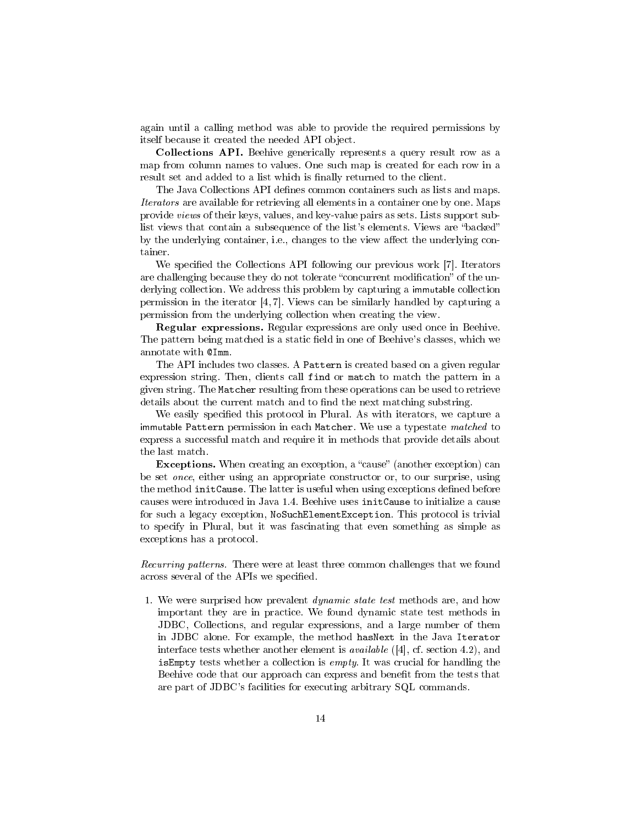again until a calling method was able to provide the required permissions by itself because it created the needed API object.

Collections API. Beehive generically represents a query result row as a map from column names to values. One such map is created for each row in a result set and added to a list which is finally returned to the client.

The Java Collections API defines common containers such as lists and maps. Iterators are available for retrieving all elements in a container one by one. Maps provide views of their keys, values, and key-value pairs as sets. Lists support sublist views that contain a subsequence of the list's elements. Views are "backed" by the underlying container, i.e., changes to the view affect the underlying container.

We specified the Collections API following our previous work [7]. Iterators are challenging because they do not tolerate "concurrent modification" of the underlying collection. We address this problem by capturing a immutable collection permission in the iterator [4, 7]. Views can be similarly handled by capturing a permission from the underlying collection when creating the view.

Regular expressions. Regular expressions are only used once in Beehive. The pattern being matched is a static field in one of Beehive's classes, which we annotate with @Imm.

The API includes two classes. A Pattern is created based on a given regular expression string. Then, clients call find or match to match the pattern in a given string. The Matcher resulting from these operations can be used to retrieve details about the current match and to find the next matching substring.

We easily specified this protocol in Plural. As with iterators, we capture a immutable Pattern permission in each Matcher. We use a typestate matched to express a successful match and require it in methods that provide details about the last match.

Exceptions. When creating an exception, a "cause" (another exception) can be set once, either using an appropriate constructor or, to our surprise, using the method initCause. The latter is useful when using exceptions defined before causes were introduced in Java 1.4. Beehive uses initCause to initialize a cause for such a legacy exception, NoSuchElementException. This protocol is trivial to specify in Plural, but it was fascinating that even something as simple as exceptions has a protocol.

Recurring patterns. There were at least three common challenges that we found across several of the APIs we specified.

1. We were surprised how prevalent *dynamic state test* methods are, and how important they are in practice. We found dynamic state test methods in JDBC, Collections, and regular expressions, and a large number of them in JDBC alone. For example, the method hasNext in the Java Iterator interface tests whether another element is available ([4], cf. section 4.2), and isEmpty tests whether a collection is empty. It was crucial for handling the Beehive code that our approach can express and benefit from the tests that are part of JDBC's facilities for executing arbitrary SQL commands.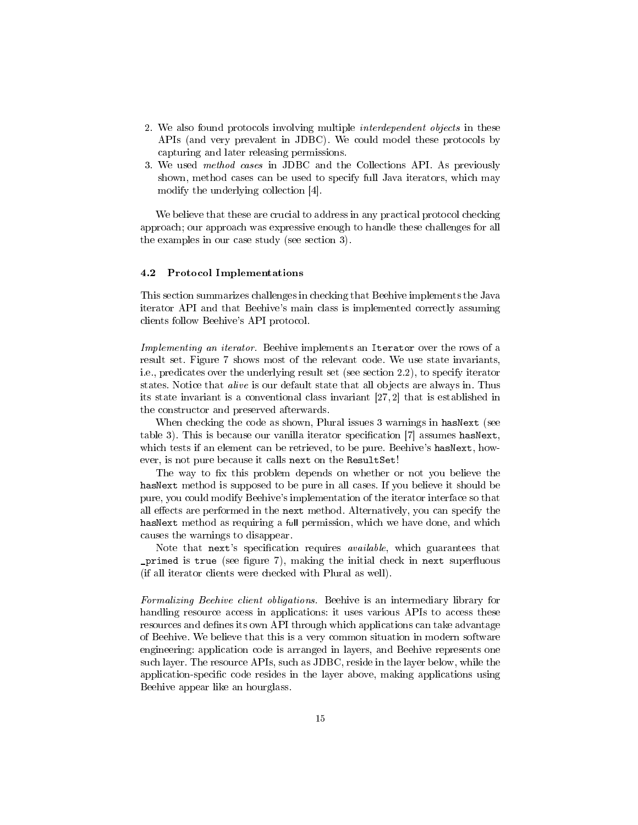- 2. We also found protocols involving multiple interdependent objects in these APIs (and very prevalent in JDBC). We could model these protocols by capturing and later releasing permissions.
- 3. We used method cases in JDBC and the Collections API. As previously shown, method cases can be used to specify full Java iterators, which may modify the underlying collection [4].

We believe that these are crucial to address in any practical protocol checking approach; our approach was expressive enough to handle these challenges for all the examples in our case study (see section 3).

#### 4.2 Protocol Implementations

This section summarizes challenges in checking that Beehive implements the Java iterator API and that Beehive's main class is implemented correctly assuming clients follow Beehive's API protocol.

Implementing an iterator. Beehive implements an Iterator over the rows of a result set. Figure 7 shows most of the relevant code. We use state invariants, i.e., predicates over the underlying result set (see section 2.2), to specify iterator states. Notice that alive is our default state that all objects are always in. Thus its state invariant is a conventional class invariant [27, 2] that is established in the constructor and preserved afterwards.

When checking the code as shown, Plural issues 3 warnings in hasNext (see table 3). This is because our vanilla iterator specification  $[7]$  assumes hasNext, which tests if an element can be retrieved, to be pure. Beehive's hasNext, however, is not pure because it calls next on the ResultSet!

The way to fix this problem depends on whether or not you believe the hasNext method is supposed to be pure in all cases. If you believe it should be pure, you could modify Beehive's implementation of the iterator interface so that all effects are performed in the next method. Alternatively, you can specify the hasNext method as requiring a full permission, which we have done, and which causes the warnings to disappear.

Note that next's specification requires *available*, which guarantees that  $\_primed$  is true (see figure 7), making the initial check in next superfluous (if all iterator clients were checked with Plural as well).

Formalizing Beehive client obligations. Beehive is an intermediary library for handling resource access in applications: it uses various APIs to access these resources and defines its own API through which applications can take advantage of Beehive. We believe that this is a very common situation in modern software engineering: application code is arranged in layers, and Beehive represents one such layer. The resource APIs, such as JDBC, reside in the layer below, while the application-specific code resides in the layer above, making applications using Beehive appear like an hourglass.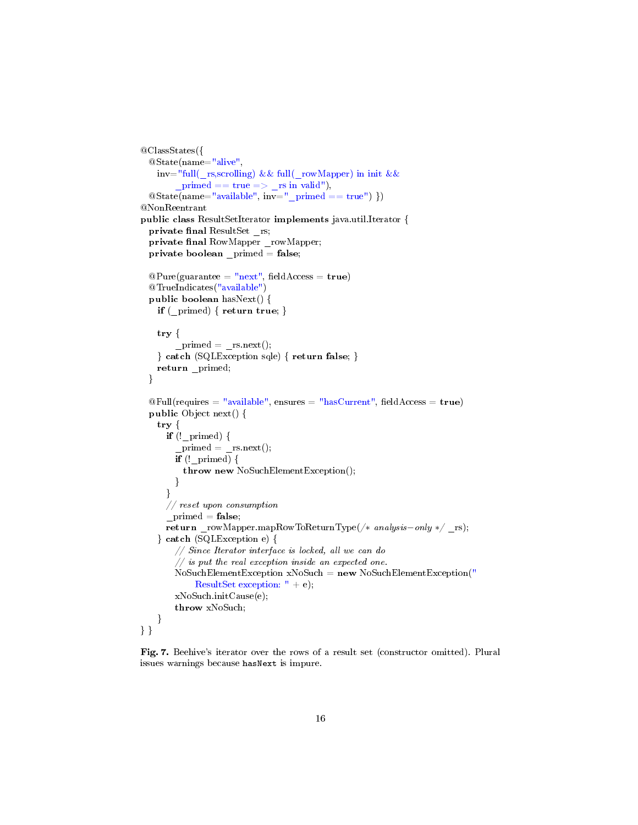```
@ClassStates({
  @State(name="alive",
    inv="full(_rs,scrolling) && full(_rowMapper) in init &&
         \text{primed} == \text{true} => \text{rs in valid}"),
  @State(name="available", inv="prime == true") })
@NonReentrant
public class ResultSetIterator implements java.util.Iterator {
  private final ResultSet rs;
  private final RowMapper _rowMapper;
  private boolean prime = false;@Pure(guarantee = "next", fieldAccess = true)@TrueIndicates("available")
  public boolean hasNext() {
   if ( primed) { return true; }
    try {
        primed = rs.next();} catch (SQLException sqle) { return false; }
    return _primed;
  }
  \mathbb{Q}Full(requires = "available", ensures = "hasCurrent", fieldAccess = true)
  public Object next() {
    try {
      if (! primed) {
        primed = rs.next();
        if \left( \begin{smallmatrix} 1 & \cdots & 0 \\ \cdots & \cdots & \cdots & 0 \end{smallmatrix} \right)throw new NoSuchElementException();
        }
      }
      // reset upon consumption
      \_primed = \mathbf{false};return _rowMapper.mapRowToReturnType(/∗ analysis−only ∗/ _rs);
    } catch (SQLException e) {
        // Since Iterator interface is locked, all we can do
        // is put the real exception inside an expected one.
        NoSuchElementException xNoSuch = new NoSuchElementException("
             ResultSet exception: " + e;
        xNoSuch.initCause(e);
        throw xNoSuch;
    }
} }
```
Fig. 7. Beehive's iterator over the rows of a result set (constructor omitted). Plural issues warnings because hasNext is impure.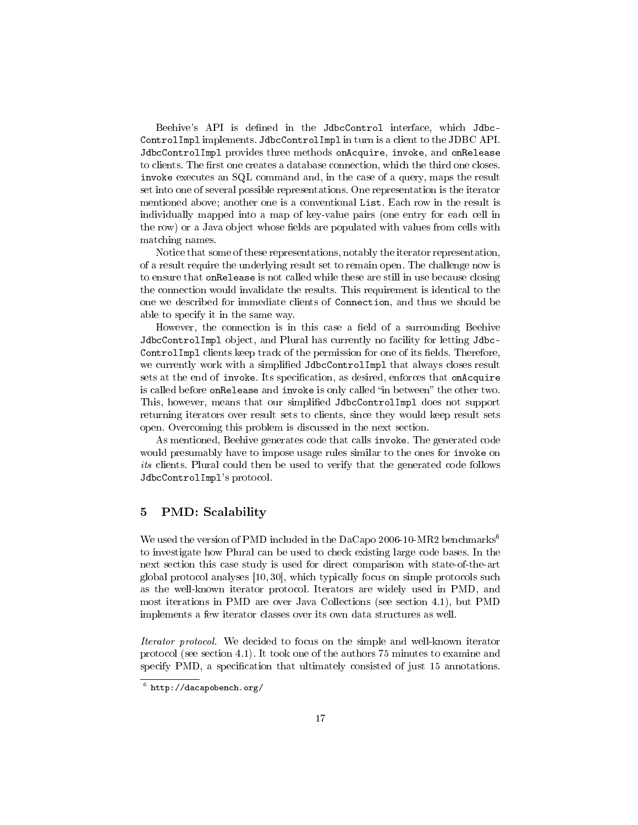Beehive's API is defined in the JdbcControl interface, which Jdbc-ControlImpl implements. JdbcControlImpl in turn is a client to the JDBC API. JdbcControlImpl provides three methods onAcquire, invoke, and onRelease to clients. The first one creates a database connection, which the third one closes. invoke executes an SQL command and, in the case of a query, maps the result set into one of several possible representations. One representation is the iterator mentioned above; another one is a conventional List. Each row in the result is individually mapped into a map of key-value pairs (one entry for each cell in the row) or a Java object whose fields are populated with values from cells with matching names.

Notice that some of these representations, notably the iterator representation, of a result require the underlying result set to remain open. The challenge now is to ensure that onRelease is not called while these are still in use because closing the connection would invalidate the results. This requirement is identical to the one we described for immediate clients of Connection, and thus we should be able to specify it in the same way.

However, the connection is in this case a field of a surrounding Beehive JdbcControlImpl object, and Plural has currently no facility for letting Jdbc-ControlImpl clients keep track of the permission for one of its fields. Therefore, we currently work with a simplified JdbcControlImpl that always closes result sets at the end of invoke. Its specification, as desired, enforces that onAcquire is called before onRelease and invoke is only called "in between" the other two. This, however, means that our simplified JdbcControlImpl does not support returning iterators over result sets to clients, since they would keep result sets open. Overcoming this problem is discussed in the next section.

As mentioned, Beehive generates code that calls invoke. The generated code would presumably have to impose usage rules similar to the ones for invoke on its clients. Plural could then be used to verify that the generated code follows JdbcControlImpl's protocol.

# 5 PMD: Scalability

We used the version of PMD included in the DaCapo 2006-10-MR2 benchmarks<sup>6</sup> to investigate how Plural can be used to check existing large code bases. In the next section this case study is used for direct comparison with state-of-the-art global protocol analyses [10, 30], which typically focus on simple protocols such as the well-known iterator protocol. Iterators are widely used in PMD, and most iterations in PMD are over Java Collections (see section 4.1), but PMD implements a few iterator classes over its own data structures as well.

Iterator protocol. We decided to focus on the simple and well-known iterator protocol (see section 4.1). It took one of the authors 75 minutes to examine and specify PMD, a specification that ultimately consisted of just 15 annotations.

 $^6$  http://dacapobench.org/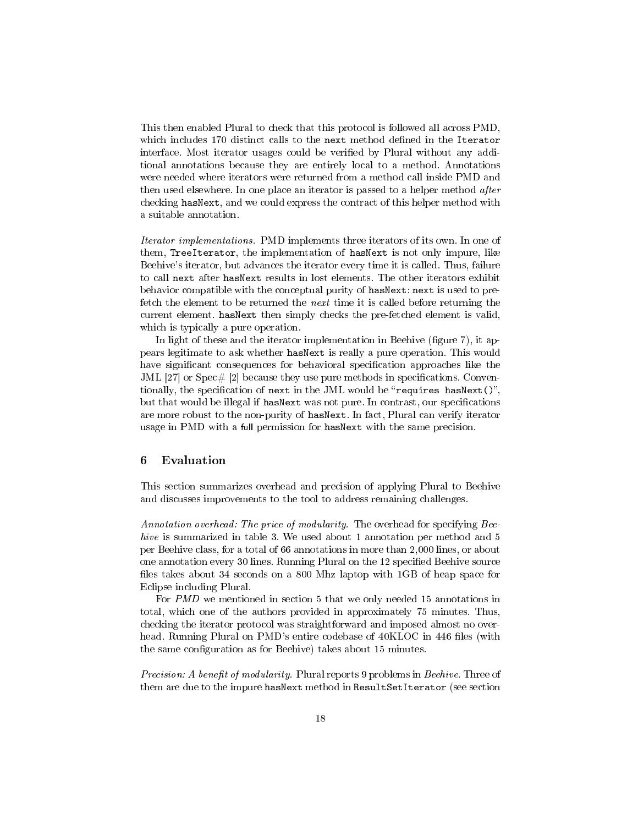This then enabled Plural to check that this protocol is followed all across PMD, which includes 170 distinct calls to the next method defined in the Iterator interface. Most iterator usages could be verified by Plural without any additional annotations because they are entirely local to a method. Annotations were needed where iterators were returned from a method call inside PMD and then used elsewhere. In one place an iterator is passed to a helper method after checking hasNext, and we could express the contract of this helper method with a suitable annotation.

Iterator implementations. PMD implements three iterators of its own. In one of them, TreeIterator, the implementation of hasNext is not only impure, like Beehive's iterator, but advances the iterator every time it is called. Thus, failure to call next after hasNext results in lost elements. The other iterators exhibit behavior compatible with the conceptual purity of hasNext: next is used to prefetch the element to be returned the *next* time it is called before returning the current element. hasNext then simply checks the pre-fetched element is valid, which is typically a pure operation.

In light of these and the iterator implementation in Beehive (figure  $7$ ), it appears legitimate to ask whether hasNext is really a pure operation. This would have significant consequences for behavioral specification approaches like the JML  $[27]$  or  $Spec \# [2]$  because they use pure methods in specifications. Conventionally, the specification of next in the JML would be "requires hasNext()", but that would be illegal if has Next was not pure. In contrast, our specifications are more robust to the non-purity of hasNext. In fact, Plural can verify iterator usage in PMD with a full permission for hasNext with the same precision.

#### 6 Evaluation

This section summarizes overhead and precision of applying Plural to Beehive and discusses improvements to the tool to address remaining challenges.

Annotation overhead: The price of modularity. The overhead for specifying Beehive is summarized in table 3. We used about 1 annotation per method and 5 per Beehive class, for a total of 66 annotations in more than 2,000 lines, or about one annotation every 30 lines. Running Plural on the 12 specified Beehive source files takes about 34 seconds on a 800 Mhz laptop with 1GB of heap space for Eclipse including Plural.

For PMD we mentioned in section 5 that we only needed 15 annotations in total, which one of the authors provided in approximately 75 minutes. Thus, checking the iterator protocol was straightforward and imposed almost no overhead. Running Plural on PMD's entire codebase of 40KLOC in 446 files (with the same configuration as for Beehive) takes about 15 minutes.

Precision: A benefit of modularity. Plural reports 9 problems in Beehive. Three of them are due to the impure hasNext method in ResultSetIterator (see section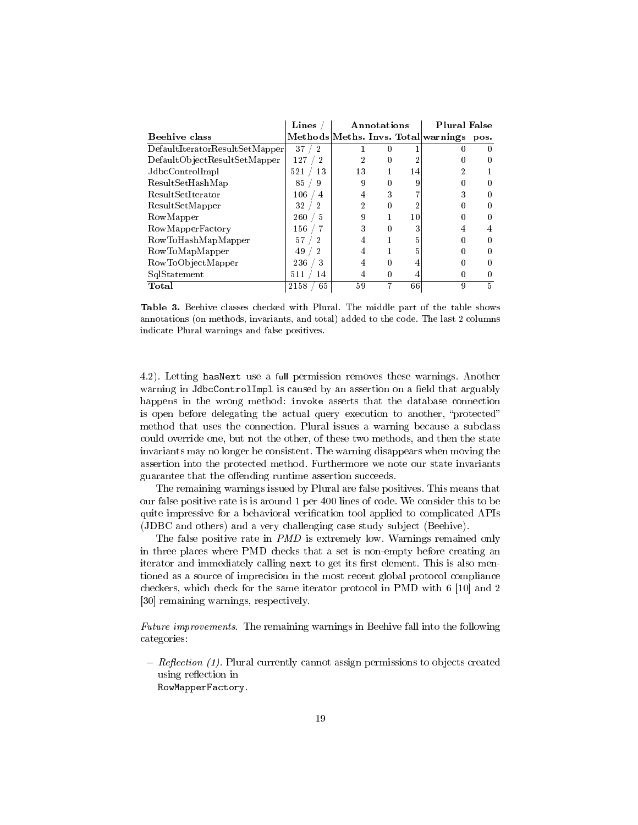|                                | Lines      | Annotations |   | <b>Plural False</b> |                                     |                  |
|--------------------------------|------------|-------------|---|---------------------|-------------------------------------|------------------|
| Beehive class                  |            |             |   |                     | Methods Meths. Invs. Total warnings | pos.             |
| DefaultIteratorResultSetMapper | 37<br>2    |             | 0 |                     |                                     |                  |
| DefaultObjectResultSetMapper   | 127        |             |   |                     |                                     |                  |
| JdbcControlImpl                | 521<br>13  | 13          |   | 14                  |                                     |                  |
| ResultSetHashMap               | 85.<br>9   | 9           |   | 9                   |                                     |                  |
| ResultSetIterator              | 106<br>4   |             | 3 |                     | 3                                   | $\left( \right)$ |
| ResultSetMapper                | 32         | 2           |   | 2                   |                                     | O                |
| RowMapper                      | 260<br>5   | 9           |   | 10                  |                                     | 0                |
| RowMapperFactory               | 156        | 3           |   | 3                   |                                     |                  |
| RowToHashMapMapper             | 2<br>57    |             |   | 5                   |                                     | $\mathbf{0}$     |
| RowToMapMapper                 | 49         | 4           |   | 5                   |                                     | O                |
| RowToObjectMapper              | 3<br>236   | 4           |   |                     |                                     | 0                |
| SqlStatement                   | 511<br>14  |             |   | 4                   |                                     | 0                |
| Total                          | 65<br>2158 | 59          |   | 66                  | 9                                   | 5                |

Table 3. Beehive classes checked with Plural. The middle part of the table shows annotations (on methods, invariants, and total) added to the code. The last 2 columns indicate Plural warnings and false positives.

4.2). Letting hasNext use a full permission removes these warnings. Another warning in JdbcControlImpl is caused by an assertion on a field that arguably happens in the wrong method: invoke asserts that the database connection is open before delegating the actual query execution to another, "protected" method that uses the connection. Plural issues a warning because a subclass could override one, but not the other, of these two methods, and then the state invariants may no longer be consistent. The warning disappears when moving the assertion into the protected method. Furthermore we note our state invariants guarantee that the offending runtime assertion succeeds.

The remaining warnings issued by Plural are false positives. This means that our false positive rate is is around 1 per 400 lines of code. We consider this to be quite impressive for a behavioral verification tool applied to complicated APIs (JDBC and others) and a very challenging case study subject (Beehive).

The false positive rate in PMD is extremely low. Warnings remained only in three places where PMD checks that a set is non-empty before creating an iterator and immediately calling next to get its first element. This is also mentioned as a source of imprecision in the most recent global protocol compliance checkers, which check for the same iterator protocol in PMD with 6 [10] and 2 [30] remaining warnings, respectively.

Future improvements. The remaining warnings in Beehive fall into the following categories:

- Reflection (1). Plural currently cannot assign permissions to objects created using reflection in RowMapperFactory.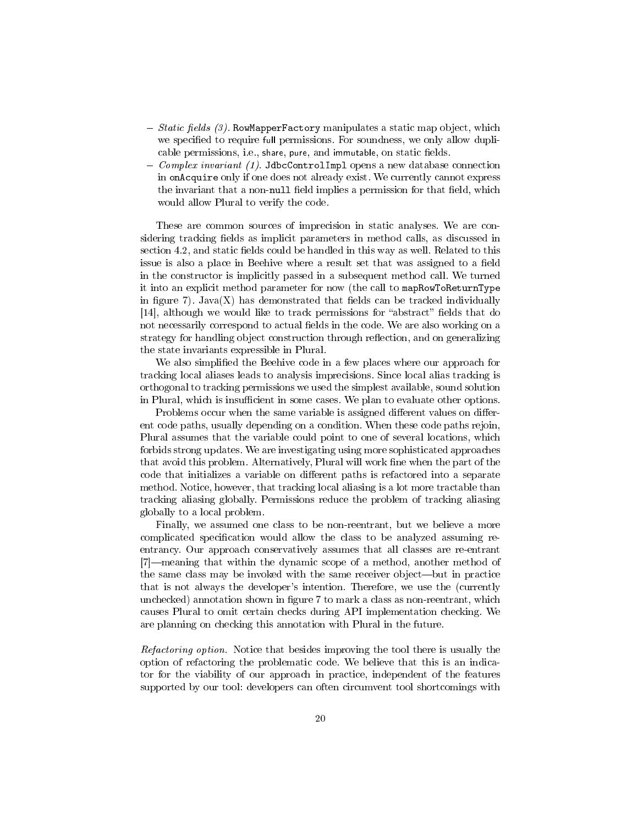- $S$  Static fields (3). RowMapperFactory manipulates a static map object, which we specified to require full permissions. For soundness, we only allow duplicable permissions, i.e., share, pure, and immutable, on static fields.
- Complex invariant (1). JdbcControlImpl opens a new database connection in onAcquire only if one does not already exist. We currently cannot express the invariant that a non-null field implies a permission for that field, which would allow Plural to verify the code.

These are common sources of imprecision in static analyses. We are considering tracking fields as implicit parameters in method calls, as discussed in section 4.2, and static fields could be handled in this way as well. Related to this issue is also a place in Beehive where a result set that was assigned to a field in the constructor is implicitly passed in a subsequent method call. We turned it into an explicit method parameter for now (the call to mapRowToReturnType in figure 7). Java $(X)$  has demonstrated that fields can be tracked individually  $[14]$ , although we would like to track permissions for "abstract" fields that do not necessarily correspond to actual fields in the code. We are also working on a strategy for handling object construction through reflection, and on generalizing the state invariants expressible in Plural.

We also simplified the Beehive code in a few places where our approach for tracking local aliases leads to analysis imprecisions. Since local alias tracking is orthogonal to tracking permissions we used the simplest available, sound solution in Plural, which is insufficient in some cases. We plan to evaluate other options.

Problems occur when the same variable is assigned different values on different code paths, usually depending on a condition. When these code paths rejoin, Plural assumes that the variable could point to one of several locations, which forbids strong updates. We are investigating using more sophisticated approaches that avoid this problem. Alternatively, Plural will work fine when the part of the code that initializes a variable on different paths is refactored into a separate method. Notice, however, that tracking local aliasing is a lot more tractable than tracking aliasing globally. Permissions reduce the problem of tracking aliasing globally to a local problem.

Finally, we assumed one class to be non-reentrant, but we believe a more complicated specification would allow the class to be analyzed assuming reentrancy. Our approach conservatively assumes that all classes are re-entrant [7]—meaning that within the dynamic scope of a method, another method of the same class may be invoked with the same receiver object—but in practice that is not always the developer's intention. Therefore, we use the (currently unchecked) annotation shown in gure 7 to mark a class as non-reentrant, which causes Plural to omit certain checks during API implementation checking. We are planning on checking this annotation with Plural in the future.

Refactoring option. Notice that besides improving the tool there is usually the option of refactoring the problematic code. We believe that this is an indicator for the viability of our approach in practice, independent of the features supported by our tool: developers can often circumvent tool shortcomings with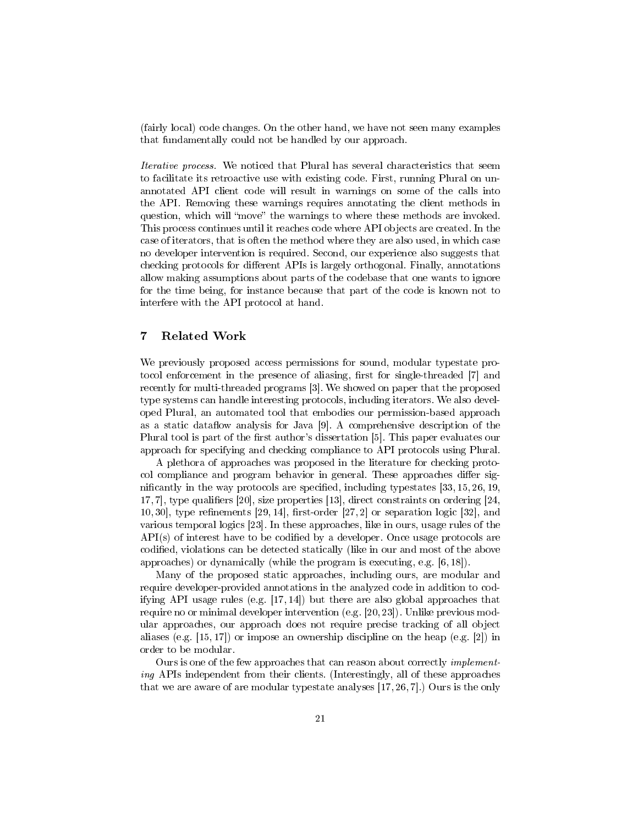(fairly local) code changes. On the other hand, we have not seen many examples that fundamentally could not be handled by our approach.

Iterative process. We noticed that Plural has several characteristics that seem to facilitate its retroactive use with existing code. First, running Plural on unannotated API client code will result in warnings on some of the calls into the API. Removing these warnings requires annotating the client methods in question, which will "move" the warnings to where these methods are invoked. This process continues until it reaches code where API objects are created. In the case of iterators, that is often the method where they are also used, in which case no developer intervention is required. Second, our experience also suggests that checking protocols for different APIs is largely orthogonal. Finally, annotations allow making assumptions about parts of the codebase that one wants to ignore for the time being, for instance because that part of the code is known not to interfere with the API protocol at hand.

## 7 Related Work

We previously proposed access permissions for sound, modular typestate protocol enforcement in the presence of aliasing, first for single-threaded [7] and recently for multi-threaded programs [3]. We showed on paper that the proposed type systems can handle interesting protocols, including iterators. We also developed Plural, an automated tool that embodies our permission-based approach as a static data flow analysis for Java  $[9]$ . A comprehensive description of the Plural tool is part of the first author's dissertation [5]. This paper evaluates our approach for specifying and checking compliance to API protocols using Plural.

A plethora of approaches was proposed in the literature for checking protocol compliance and program behavior in general. These approaches differ significantly in the way protocols are specified, including typestates  $[33, 15, 26, 19,$ 17, 7, type qualifiers [20], size properties [13], direct constraints on ordering [24, 10, 30], type refinements  $[29, 14]$ , first-order  $[27, 2]$  or separation logic  $[32]$ , and various temporal logics [23]. In these approaches, like in ours, usage rules of the  $API(s)$  of interest have to be codified by a developer. Once usage protocols are codified, violations can be detected statically (like in our and most of the above approaches) or dynamically (while the program is executing, e.g. [6, 18]).

Many of the proposed static approaches, including ours, are modular and require developer-provided annotations in the analyzed code in addition to codifying API usage rules (e.g. [17, 14]) but there are also global approaches that require no or minimal developer intervention (e.g. [20, 23]). Unlike previous modular approaches, our approach does not require precise tracking of all object aliases (e.g.  $[15, 17]$ ) or impose an ownership discipline on the heap (e.g.  $[2]$ ) in order to be modular.

Ours is one of the few approaches that can reason about correctly *implement*ing APIs independent from their clients. (Interestingly, all of these approaches that we are aware of are modular typestate analyses [17, 26, 7].) Ours is the only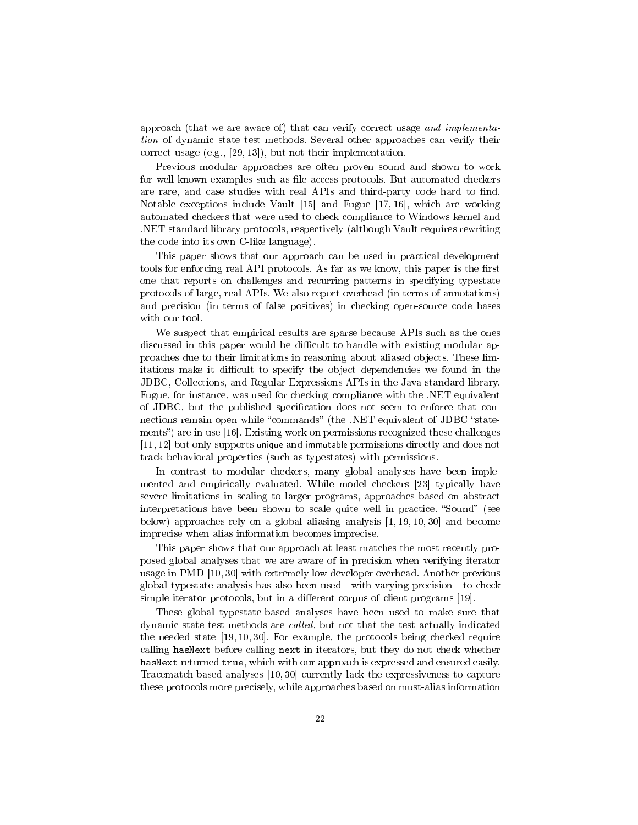approach (that we are aware of) that can verify correct usage and implementation of dynamic state test methods. Several other approaches can verify their correct usage (e.g., [29, 13]), but not their implementation.

Previous modular approaches are often proven sound and shown to work for well-known examples such as file access protocols. But automated checkers are rare, and case studies with real APIs and third-party code hard to find. Notable exceptions include Vault [15] and Fugue [17, 16], which are working automated checkers that were used to check compliance to Windows kernel and .NET standard library protocols, respectively (although Vault requires rewriting the code into its own C-like language).

This paper shows that our approach can be used in practical development tools for enforcing real API protocols. As far as we know, this paper is the first one that reports on challenges and recurring patterns in specifying typestate protocols of large, real APIs. We also report overhead (in terms of annotations) and precision (in terms of false positives) in checking open-source code bases with our tool.

We suspect that empirical results are sparse because APIs such as the ones discussed in this paper would be difficult to handle with existing modular approaches due to their limitations in reasoning about aliased objects. These limitations make it difficult to specify the object dependencies we found in the JDBC, Collections, and Regular Expressions APIs in the Java standard library. Fugue, for instance, was used for checking compliance with the .NET equivalent of JDBC, but the published specification does not seem to enforce that connections remain open while "commands" (the .NET equivalent of JDBC "statements") are in use [16]. Existing work on permissions recognized these challenges [11, 12] but only supports unique and immutable permissions directly and does not track behavioral properties (such as typestates) with permissions.

In contrast to modular checkers, many global analyses have been implemented and empirically evaluated. While model checkers [23] typically have severe limitations in scaling to larger programs, approaches based on abstract interpretations have been shown to scale quite well in practice. "Sound" (see below) approaches rely on a global aliasing analysis [1, 19, 10, 30] and become imprecise when alias information becomes imprecise.

This paper shows that our approach at least matches the most recently proposed global analyses that we are aware of in precision when verifying iterator usage in PMD [10, 30] with extremely low developer overhead. Another previous global typestate analysis has also been used—with varying precision—to check simple iterator protocols, but in a different corpus of client programs [19].

These global typestate-based analyses have been used to make sure that dynamic state test methods are called, but not that the test actually indicated the needed state [19, 10, 30]. For example, the protocols being checked require calling hasNext before calling next in iterators, but they do not check whether hasNext returned true, which with our approach is expressed and ensured easily. Tracematch-based analyses [10, 30] currently lack the expressiveness to capture these protocols more precisely, while approaches based on must-alias information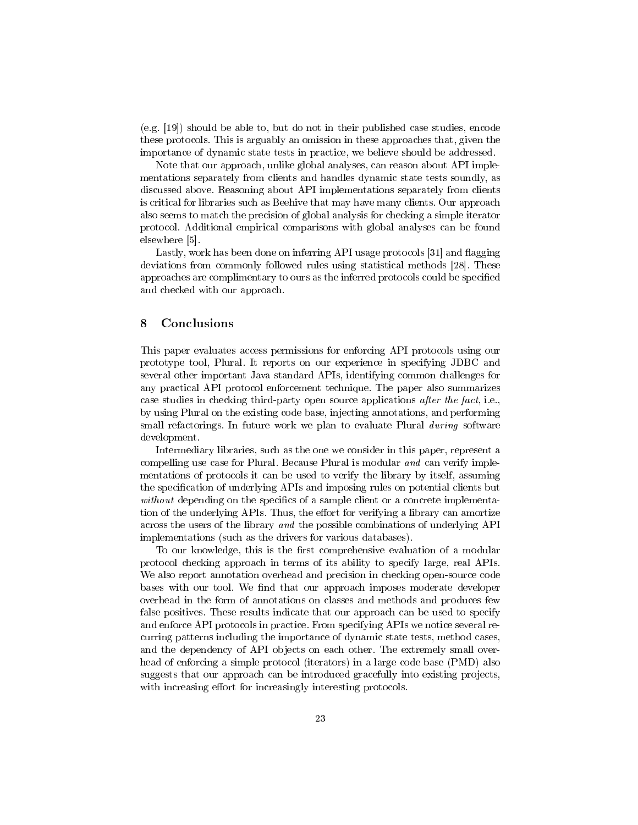(e.g. [19]) should be able to, but do not in their published case studies, encode these protocols. This is arguably an omission in these approaches that, given the importance of dynamic state tests in practice, we believe should be addressed.

Note that our approach, unlike global analyses, can reason about API implementations separately from clients and handles dynamic state tests soundly, as discussed above. Reasoning about API implementations separately from clients is critical for libraries such as Beehive that may have many clients. Our approach also seems to match the precision of global analysis for checking a simple iterator protocol. Additional empirical comparisons with global analyses can be found elsewhere [5].

Lastly, work has been done on inferring API usage protocols  $[31]$  and flagging deviations from commonly followed rules using statistical methods [28]. These approaches are complimentary to ours as the inferred protocols could be specified and checked with our approach.

#### 8 Conclusions

This paper evaluates access permissions for enforcing API protocols using our prototype tool, Plural. It reports on our experience in specifying JDBC and several other important Java standard APIs, identifying common challenges for any practical API protocol enforcement technique. The paper also summarizes case studies in checking third-party open source applications after the fact, i.e., by using Plural on the existing code base, injecting annotations, and performing small refactorings. In future work we plan to evaluate Plural *during* software development.

Intermediary libraries, such as the one we consider in this paper, represent a compelling use case for Plural. Because Plural is modular and can verify implementations of protocols it can be used to verify the library by itself, assuming the specification of underlying APIs and imposing rules on potential clients but without depending on the specifics of a sample client or a concrete implementation of the underlying APIs. Thus, the effort for verifying a library can amortize across the users of the library and the possible combinations of underlying API implementations (such as the drivers for various databases).

To our knowledge, this is the first comprehensive evaluation of a modular protocol checking approach in terms of its ability to specify large, real APIs. We also report annotation overhead and precision in checking open-source code bases with our tool. We find that our approach imposes moderate developer overhead in the form of annotations on classes and methods and produces few false positives. These results indicate that our approach can be used to specify and enforce API protocols in practice. From specifying APIs we notice several recurring patterns including the importance of dynamic state tests, method cases, and the dependency of API objects on each other. The extremely small overhead of enforcing a simple protocol (iterators) in a large code base (PMD) also suggests that our approach can be introduced gracefully into existing projects, with increasing effort for increasingly interesting protocols.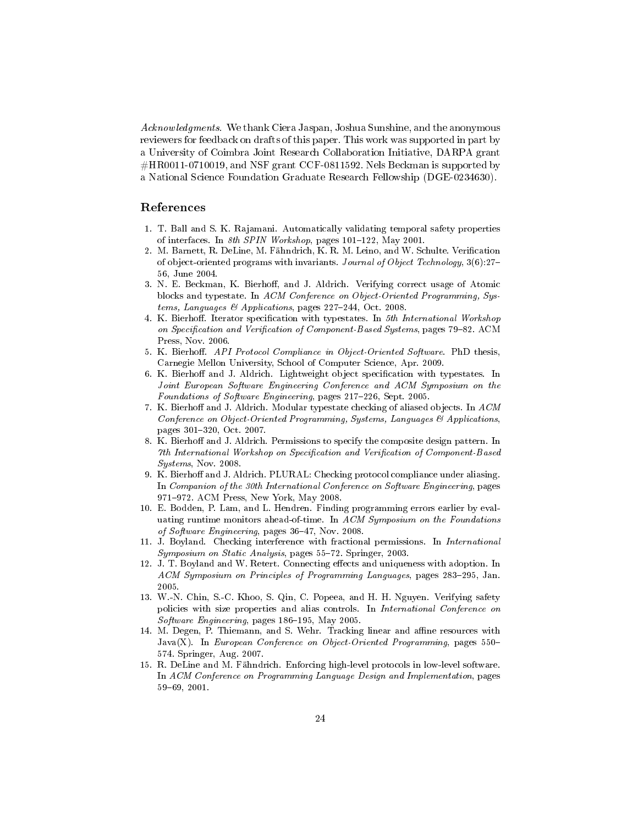Acknowledgments. We thank Ciera Jaspan, Joshua Sunshine, and the anonymous reviewers for feedback on drafts of this paper. This work was supported in part by a University of Coimbra Joint Research Collaboration Initiative, DARPA grant  $\#HR0011-0710019$ , and NSF grant CCF-0811592. Nels Beckman is supported by a National Science Foundation Graduate Research Fellowship (DGE-0234630).

## References

- 1. T. Ball and S. K. Rajamani. Automatically validating temporal safety properties of interfaces. In 8th SPIN Workshop, pages  $101-122$ , May 2001.
- 2. M. Barnett, R. DeLine, M. Fähndrich, K. R. M. Leino, and W. Schulte. Verification of object-oriented programs with invariants. Journal of Object Technology, 3(6):27 56, June 2004.
- 3. N. E. Beckman, K. Bierhoff, and J. Aldrich. Verifying correct usage of Atomic blocks and typestate. In ACM Conference on Object-Oriented Programming, Systems, Languages & Applications, pages  $227-244$ , Oct. 2008.
- 4. K. Bierhoff. Iterator specification with typestates. In 5th International Workshop on Specification and Verification of Component-Based Systems, pages 79–82. ACM Press, Nov. 2006.
- 5. K. Bierhoff. API Protocol Compliance in Object-Oriented Software. PhD thesis, Carnegie Mellon University, School of Computer Science, Apr. 2009.
- 6. K. Bierhoff and J. Aldrich. Lightweight object specification with typestates. In Joint European Software Engineering Conference and ACM Symposium on the Foundations of Software Engineering, pages 217-226, Sept. 2005.
- 7. K. Bierhoff and J. Aldrich. Modular typestate checking of aliased objects. In  $ACM$ Conference on Object-Oriented Programming, Systems, Languages & Applications, pages 301-320, Oct. 2007.
- 8. K. Bierhoff and J. Aldrich. Permissions to specify the composite design pattern. In 7th International Workshop on Specification and Verification of Component-Based Systems, Nov. 2008.
- 9. K. Bierhoff and J. Aldrich. PLURAL: Checking protocol compliance under aliasing. In Companion of the 30th International Conference on Software Engineering, pages 971972. ACM Press, New York, May 2008.
- 10. E. Bodden, P. Lam, and L. Hendren. Finding programming errors earlier by evaluating runtime monitors ahead-of-time. In ACM Symposium on the Foundations of Software Engineering, pages 36-47, Nov. 2008.
- 11. J. Boyland. Checking interference with fractional permissions. In International Symposium on Static Analysis, pages 55-72. Springer, 2003.
- 12. J. T. Boyland and W. Retert. Connecting effects and uniqueness with adoption. In ACM Symposium on Principles of Programming Languages, pages 283-295, Jan. 2005.
- 13. W.-N. Chin, S.-C. Khoo, S. Qin, C. Popeea, and H. H. Nguyen. Verifying safety policies with size properties and alias controls. In International Conference on  $Software\ Engineering$ , pages 186-195, May 2005.
- 14. M. Degen, P. Thiemann, and S. Wehr. Tracking linear and affine resources with Java $(X)$ . In European Conference on Object-Oriented Programming, pages 550– 574. Springer, Aug. 2007.
- 15. R. DeLine and M. Fähndrich. Enforcing high-level protocols in low-level software. In ACM Conference on Programming Language Design and Implementation, pages 5969, 2001.